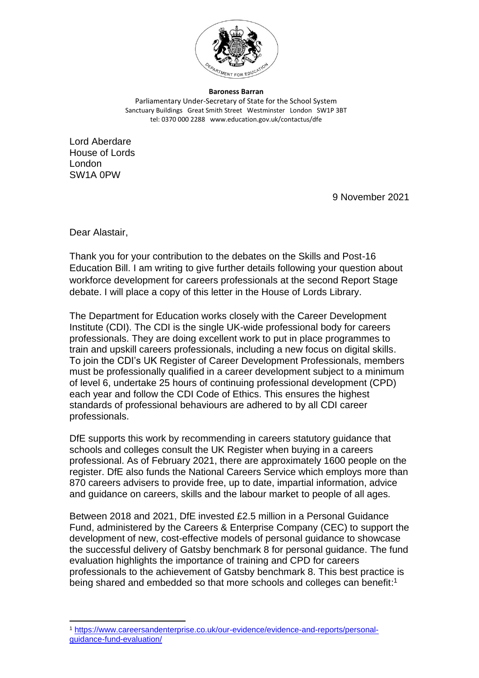

**Baroness Barran** Parliamentary Under-Secretary of State for the School System Sanctuary Buildings Great Smith Street Westminster London SW1P 3BT tel: 0370 000 2288 www.education.gov.uk/contactus/dfe

Lord Aberdare House of Lords London SW1A 0PW

9 November 2021

Dear Alastair,

Thank you for your contribution to the debates on the Skills and Post-16 Education Bill. I am writing to give further details following your question about workforce development for careers professionals at the second Report Stage debate. I will place a copy of this letter in the House of Lords Library.

The Department for Education works closely with the Career Development Institute (CDI). The CDI is the single UK-wide professional body for careers professionals. They are doing excellent work to put in place programmes to train and upskill careers professionals, including a new focus on digital skills. To join the CDI's UK Register of Career Development Professionals, members must be professionally qualified in a career development subject to a minimum of level 6, undertake 25 hours of continuing professional development (CPD) each year and follow the CDI Code of Ethics. This ensures the highest standards of professional behaviours are adhered to by all CDI career professionals.

DfE supports this work by recommending in careers statutory guidance that schools and colleges consult the UK Register when buying in a careers professional. As of February 2021, there are approximately 1600 people on the register. DfE also funds the National Careers Service which employs more than 870 careers advisers to provide free, up to date, impartial information, advice and guidance on careers, skills and the labour market to people of all ages.

Between 2018 and 2021, DfE invested £2.5 million in a Personal Guidance Fund, administered by the Careers & Enterprise Company (CEC) to support the development of new, cost-effective models of personal guidance to showcase the successful delivery of Gatsby benchmark 8 for personal guidance. The fund evaluation highlights the importance of training and CPD for careers professionals to the achievement of Gatsby benchmark 8. This best practice is being shared and embedded so that more schools and colleges can benefit:<sup>1</sup>

<sup>1</sup> [https://www.careersandenterprise.co.uk/our-evidence/evidence-and-reports/personal](https://www.careersandenterprise.co.uk/our-evidence/evidence-and-reports/personal-guidance-fund-evaluation/)[guidance-fund-evaluation/](https://www.careersandenterprise.co.uk/our-evidence/evidence-and-reports/personal-guidance-fund-evaluation/)